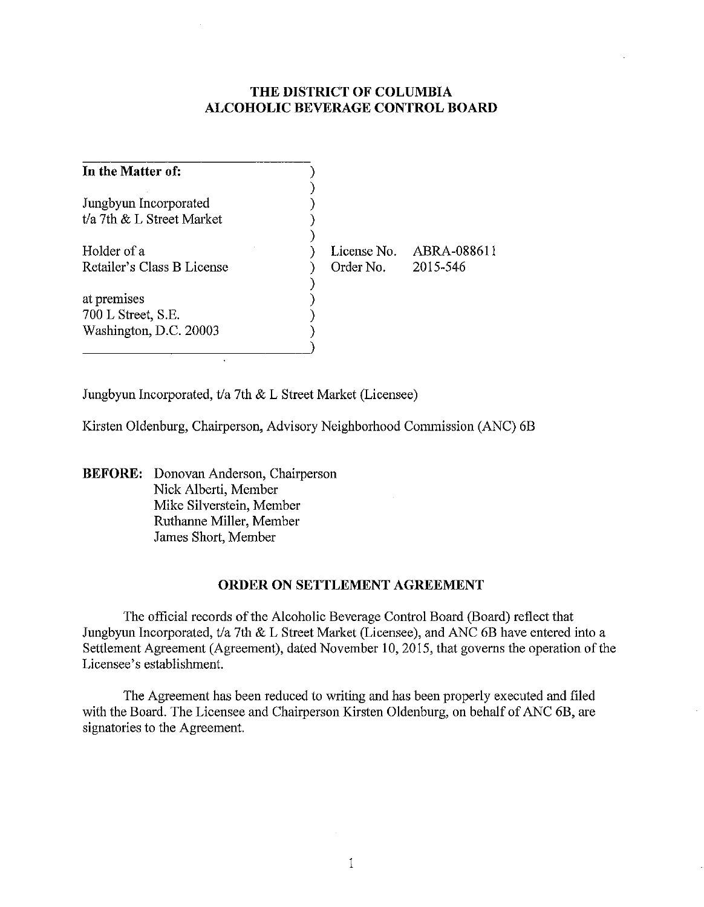# **THE DISTRICT OF COLUMBIA ALCOHOLIC BEVERAGE CONTROL BOARD**

| In the Matter of:             |             |             |
|-------------------------------|-------------|-------------|
| Jungbyun Incorporated         |             |             |
| $t/a$ 7th $&$ L Street Market |             |             |
| Holder of a                   | License No. | ABRA-088611 |
| Retailer's Class B License    | Order No.   | 2015-546    |
| at premises                   |             |             |
| 700 L Street, S.E.            |             |             |
| Washington, D.C. 20003        |             |             |

Jungbyun Incorporated, *t/a* 7th & L Street Market (Licensee)

Kirsten Oldenburg, Chairperson, Advisory Neighborhood Commission (ANC) 6B

)

**BEFORE:** Donovan Anderson, Chairperson Nick Alberti, Member Mike Silverstein, Member Ruthanne Miller, Member James Short, Member

## **ORDER ON SETTLEMENT AGREEMENT**

The official records of the Alcoholic Beverage Control Board (Board) reflect that Jungbyun Incorporated, *t/a* 7th & L Street Market (Licensee), and ANC 6B have entered into a Settlement Agreement (Agreement), dated November 10,2015, that governs the operation of the Licensee's establishment.

The Agreement has been reduced to writing and has been properly executed and filed with the Board. The Licensee and Chairperson Kirsten Oldenburg, on behalf of ANC 6B, are signatories to the Agreement.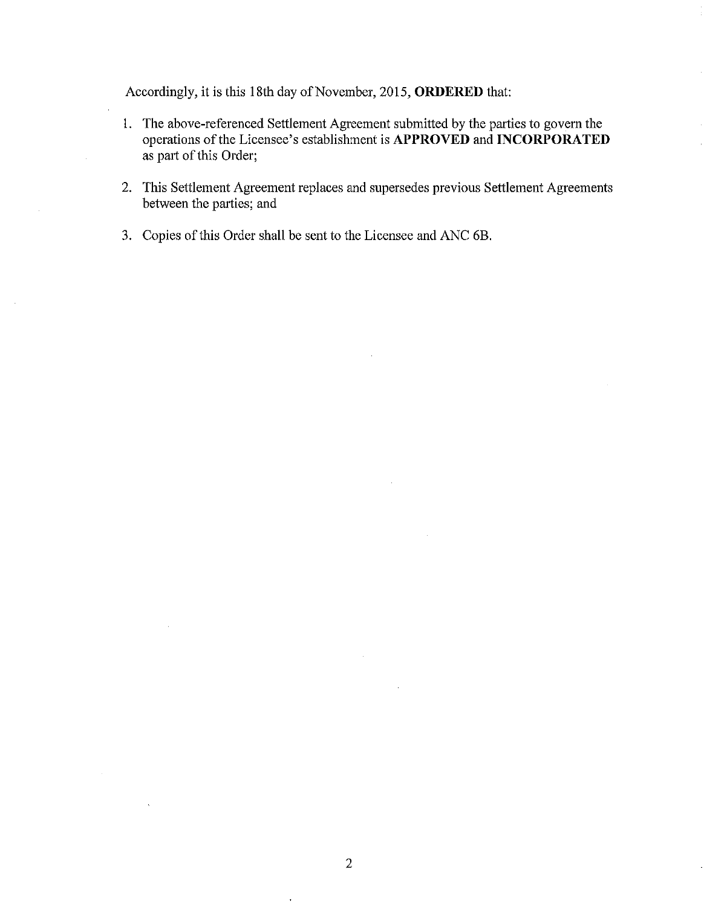Accordingly, it is this 18th day of November, 2015, **ORDERED** that:

- I. The above-referenced Settlement Agreement submitted by the parties to govern the operations of the Licensee's establishment is **APPROVED** and **INCORPORATED**  as part of this Order;
- 2. This Settlement Agreement replaces and supersedes previous Settlement Agreements between the parties; and
- 3. Copies of this Order shall be sent to the Licensee and ANC 6B.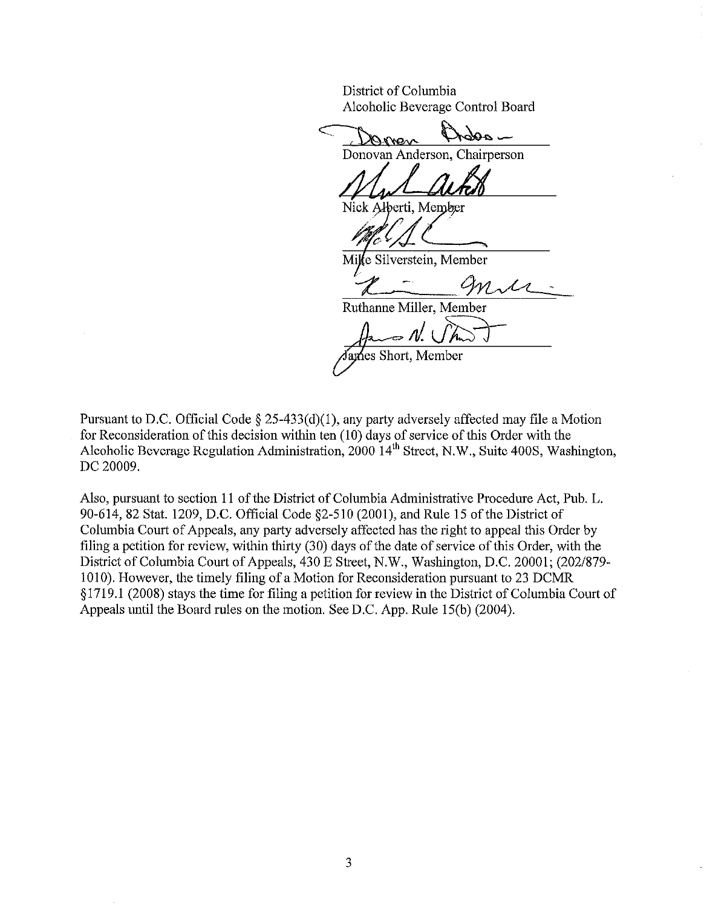District of Columbia Alcoholic Beverage Control Board

Domen those Donovan Anderson, Chairperson

Nick Alberti, Member

Mile Silverstein, Member

 $\mathcal{X} = 9n\mathcal{N}$ 

Ruthanne Miller, Member

 $\mathscr{N}$ ames Short, Member

Pursuant to D.C. Official Code  $\S 25-433(d)(1)$ , any party adversely affected may file a Motion for Reconsideration of this decision within ten (10) days of service of this Order with the Alcoholic Beverage Regulation Administration,  $2000 \, 14^{\text{th}}$  Street, N.W., Suite 400S, Washington, DC 20009.

Also, pursuant to section 11 of the District of Columbia Administrative Procedure Act, Pub. L. 90-614,82 Stat. 1209, D.C. Official Code §2-510 (2001), and Rule 15 of the District of Columbia Court of Appeals, any party adversely affected has the right to appeal this Order by filing a petition for review, within thirty (30) days of the date of service of this Order, with the District of Columbia Court of Appeals, 430 E Street, N.W., Washington, D.C. 20001; (202/879- 1010). However, the timely filing of a Motion for Reconsideration pursuant to 23 DCMR §1719.l (2008) stays the time for filing a petition for review in the District of Columbia Court of Appeals until the Board rules on the motion. See D.C. App. Rule 15(b) (2004).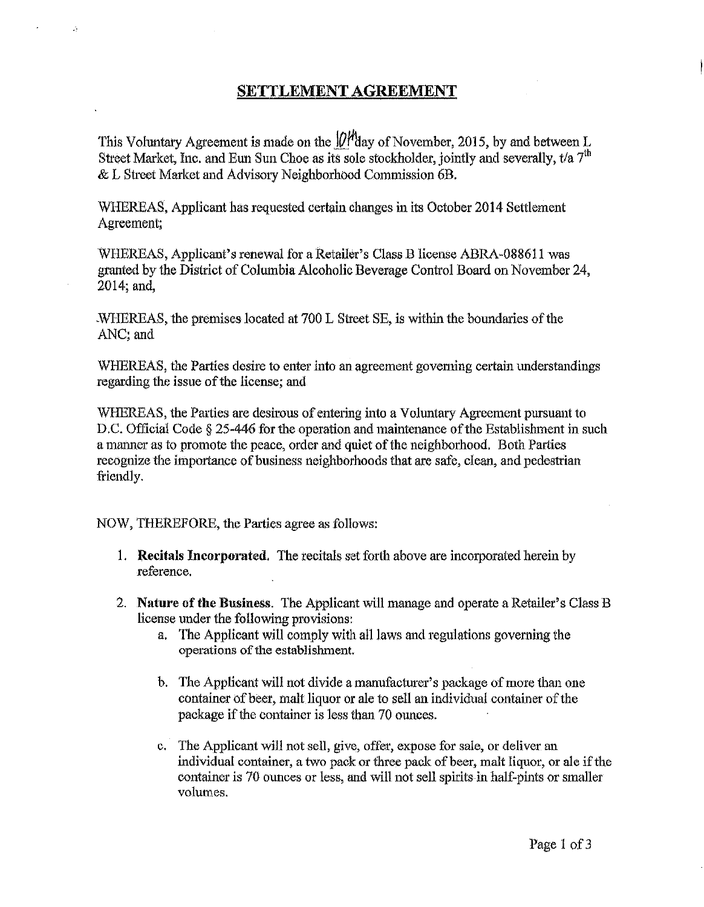# SETTLEMENT AGREEMENT

This Voluntary Agreement is made on the  $\varnothing$ <sup>*H* $\varnothing$ </sup>day of November, 2015, by and between L Street Market, Inc. and Eun Sun Choe as its sole stockholder, jointly and severally,  $t/a$  7<sup>th</sup> & L Street Market and Advisory Neighborhood Commission 6B.

WHEREAS, Applicant has requested certain changes in its October 2014 Settlement Agreement;

WHEREAS, Applicant's renewal tor a Retailer's Class B license ABRA-088611 was granted by the District of Columbia Alcoholic Beverage Control Board on November 24, 2014; and,

WHEREAS, the premises located at 700 L Street SE, is within the boundaries of the ANC;and

WHEREAS, the Parties desire to enter into an agreement goveming certain understandings regarding the issue of the license; and

WHEREAS, the Patties are desirous of entering into a Voluntary Agreement pursuant to D.C. Official Code § 25-446 for the operation and maintenance of the Establishment in such a manner as to promote the peace, order and quiet of the neighborhood. Both Parties recognize the importance of business neighborhoods that are safe, clean, and pedestrian friendly.

NOW, THEREFORE, the Parties agree as follows:

 $\mathbb{R}^2$ 

- 1. Recitals Incorporated. The recitals set forth above are incorporated herein by reference.
- 2. Nature of the Business. The Applicant will manage and operate a Retailer's Class B license under the following provisions:
	- a. The Applicant will comply with all laws and regulations governing the operations of the establishment.
	- b. The Applicant will not divide a manufacturer's package of more than one container of beer, malt liquor or ale to sell an individual container of the package if the container is less than 70 ounces.
	- c. The Applicant will not sell, give, offer, expose for sale, or deliver an individual container, a two pack or three pack of beer, malt liquor, or ale if the container is 70 ounces or less, and will not sell spirits in half-pints or smaller volumes.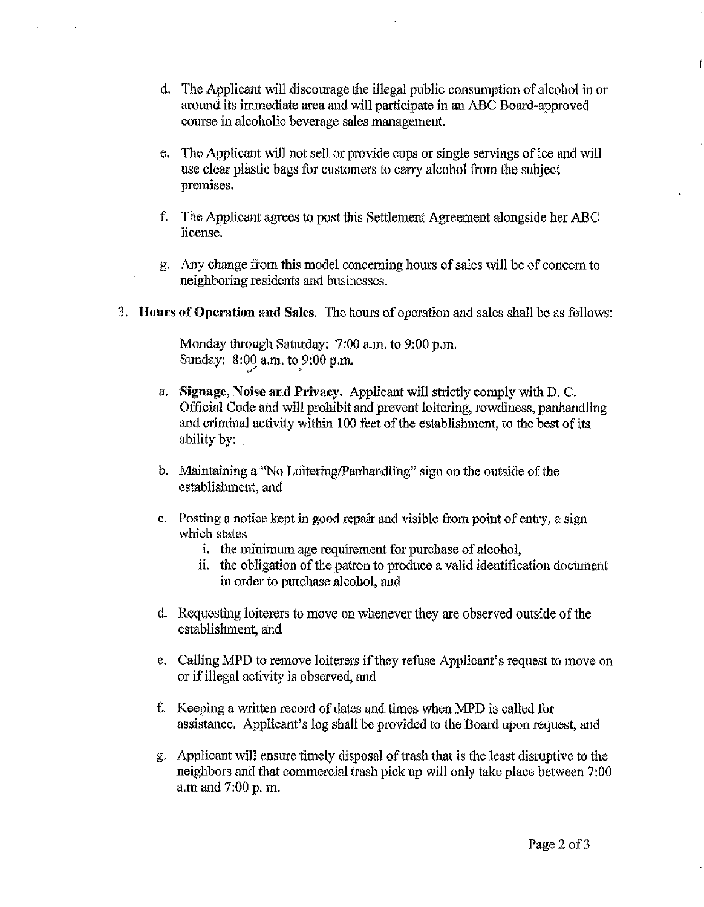- d. The Applicant will discourage the illegal public consumption of alcohol in or around its immediate area and will participate in an ABC Board-approved course in alcoholic beverage sales management.
- e. The Applicant will not sell or provide cups or single servings of ice and will use clear plastic bags for customers to carry alcohol from the subject premises.
- f. The Applicant agrees to post this Settlement Agreement alongside her ABC license.
- g. Any change from this model concerning hours of sales will be of concern to neighboring residents and businesses.
- 3. Hours of Operation and Sales. The hours of operation and sales shall be as follows:

Monday through Saturday: 7:00 a.m. to 9:00 p.m. Sunday:  $8:09$  a.m. to  $9:00$  p.m.

- a. Signage, Noise and Privacy. Applicant will strictly comply with D. C. Official Code and will prohibit and prevent loitering, rowdiness, panhandling and criminal activity within 100 feet of the establishment, to the best of its ability by:
- b. Maintaining a "No Loitering/Panhandling" sign on the outside of the establishment, and
- c. Posting a notice kept in good repair and visible from point of entry, a sign which states
	- i. the minimum age requirement for purchase of alcohol,
	- ii. the obligation of the patron to produce a valid identification document in order to purchase alcohol, and
- d. Requesting loiterers to move on whenever they are observed outside of the establishment, and
- e. Calling MPD to remove loiterers ifthey refuse Applicant's request to move on or if illegal activity is ohserved, and
- f. Keeping a written record of dates and times when MPD is called for assistance. Applicant's log shall be provided to the Board upon request, and
- g. Applicant will ensure timely disposal oft rash that is the least disruptive to the neighbors and that commercial trash pick up will only take place between 7:00 a.m and 7:00 p. m.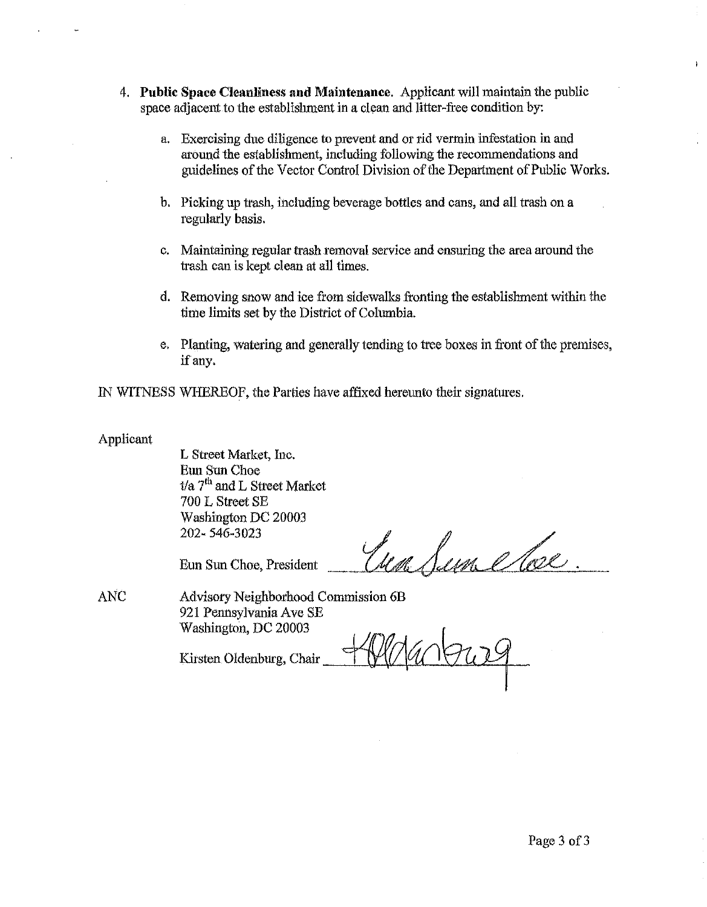- 4. **Public** Space Cleanliness **and Maintenance.** Applicant will maintain the public space adjacent to the establishment in a clean and litter-free condition by:
	- a. Exercising due diligence to prevent and or rid vermin infestation in and around the establishment, including following the recommendations and guidelines of the Vector Control Division of the Department of Public Works.
	- b. Picking up trash, including beverage bottles and cans, and all trash on a regularly basis.
	- c. Maintaining regular traah removal service and ensuring the area around the trash can is kept clean at all times.
	- d. Removing snow and ice from sidewalks fronting the establishment within the time limits set by the District of Columbia.
	- e. Planting, watering and generally tending to tree boxes in front of the premises, if any.

IN WITNESS WHEREOF, the Parties have affixed hereunto their signatures.

## Applicant

L Street Market, Inc. Eun Sun Choe *t/a*  $7<sup>th</sup>$  and L Street Market 700 L Street SE Washington DC 20003 202· 546·3023

Esca Lem

Eun Sun Choe, President

ANC Advisory Neighborhood Commission 6B 921 Pennsylvania Ave SE Washington, DC 20003

Kirsten Oldenburg, Chair